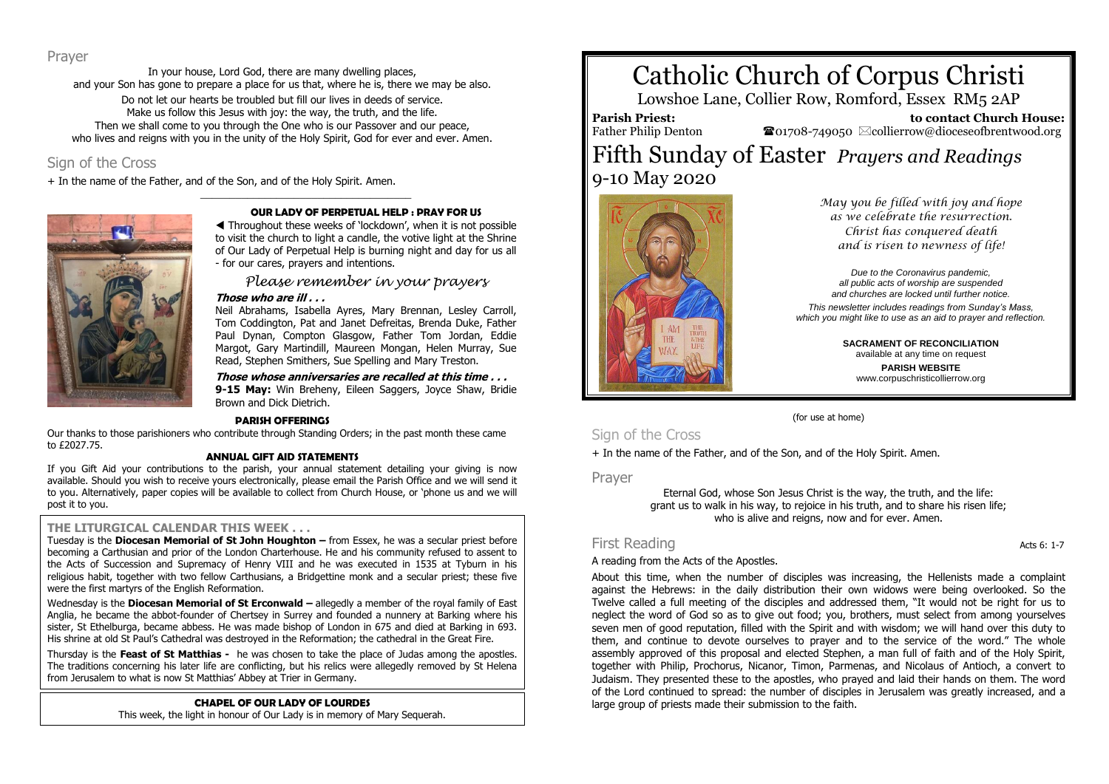### Prayer

In your house, Lord God, there are many dwelling places, and your Son has gone to prepare a place for us that, where he is, there we may be also. Do not let our hearts be troubled but fill our lives in deeds of service. Make us follow this Jesus with joy: the way, the truth, and the life. Then we shall come to you through the One who is our Passover and our peace, who lives and reigns with you in the unity of the Holy Spirit. God for ever and ever. Amen.

\_\_\_\_\_\_\_\_\_\_\_\_\_\_\_\_\_\_\_\_\_\_\_\_\_\_\_\_\_\_\_\_\_\_\_\_

## Sign of the Cross

+ In the name of the Father, and of the Son, and of the Holy Spirit. Amen.



#### **OUR LADY OF PERPETUAL HELP : PRAY FOR US**

 Throughout these weeks of 'lockdown', when it is not possible to visit the church to light a candle, the votive light at the Shrine of Our Lady of Perpetual Help is burning night and day for us all - for our cares, prayers and intentions.

*Please remember in your prayers* **Those who are ill . . .**

Neil Abrahams, Isabella Ayres, Mary Brennan, Lesley Carroll, Tom Coddington, Pat and Janet Defreitas, Brenda Duke, Father Paul Dynan, Compton Glasgow, Father Tom Jordan, Eddie Margot, Gary Martindill, Maureen Mongan, Helen Murray, Sue Read, Stephen Smithers, Sue Spelling and Mary Treston.

**Those whose anniversaries are recalled at this time . . . 9-15 May:** Win Breheny, Eileen Saggers, Joyce Shaw, Bridie Brown and Dick Dietrich.

#### **PARISH OFFERINGS**

Our thanks to those parishioners who contribute through Standing Orders; in the past month these came to £2027.75.

#### **ANNUAL GIFT AID STATEMENTS**

If you Gift Aid your contributions to the parish, your annual statement detailing your giving is now available. Should you wish to receive yours electronically, please email the Parish Office and we will send it to you. Alternatively, paper copies will be available to collect from Church House, or 'phone us and we will post it to you.

#### **THE LITURGICAL CALENDAR THIS WEEK . . .**

Tuesday is the **Diocesan Memorial of St John Houghton –** from Essex, he was a secular priest before becoming a Carthusian and prior of the London Charterhouse. He and his community refused to assent to the Acts of Succession and Supremacy of Henry VIII and he was executed in 1535 at Tyburn in his religious habit, together with two fellow Carthusians, a Bridgettine monk and a secular priest; these five were the first martyrs of the English Reformation.

Wednesday is the **Diocesan Memorial of St Erconwald –** allegedly a member of the royal family of East Anglia, he became the abbot-founder of Chertsey in Surrey and founded a nunnery at Barking where his sister, St Ethelburga, became abbess. He was made bishop of London in 675 and died at Barking in 693. His shrine at old St Paul's Cathedral was destroyed in the Reformation; the cathedral in the Great Fire.

Thursday is the **Feast of St Matthias -** he was chosen to take the place of Judas among the apostles. The traditions concerning his later life are conflicting, but his relics were allegedly removed by St Helena from Jerusalem to what is now St Matthias' Abbey at Trier in Germany.

### **CHAPEL OF OUR LADY OF LOURDES**

This week, the light in honour of Our Lady is in memory of Mary Sequerah.

# Catholic Church of Corpus Christi

Lowshoe Lane, Collier Row, Romford, Essex RM5 2AP

**Parish Priest:**

 **to contact Church House:**  $\bullet$ 01708-749050  $\boxtimes$ collierrow@dioceseofbrentwood.org

# Father Philip Denton Fifth Sunday of Easter *Prayers and Readings* 9-10 May 2020



*May you be filled with joy and hope as we celebrate the resurrection. Christ has conquered death and is risen to newness of life!*

*Due to the Coronavirus pandemic, all public acts of worship are suspended and churches are locked until further notice.*

*This newsletter includes readings from Sunday's Mass, which you might like to use as an aid to prayer and reflection.*

> **SACRAMENT OF RECONCILIATION** available at any time on request **PARISH WEBSITE** www.corpuschristicollierrow.org

(for use at home)

# Sign of the Cross

+ In the name of the Father, and of the Son, and of the Holy Spirit. Amen.

Prayer

Eternal God, whose Son Jesus Christ is the way, the truth, and the life: grant us to walk in his way, to rejoice in his truth, and to share his risen life; who is alive and reigns, now and for ever. Amen.

# First Reading Acts 6: 1-7

### A reading from the Acts of the Apostles.

About this time, when the number of disciples was increasing, the Hellenists made a complaint against the Hebrews: in the daily distribution their own widows were being overlooked. So the Twelve called a full meeting of the disciples and addressed them, "It would not be right for us to neglect the word of God so as to give out food; you, brothers, must select from among yourselves seven men of good reputation, filled with the Spirit and with wisdom; we will hand over this duty to them, and continue to devote ourselves to prayer and to the service of the word." The whole assembly approved of this proposal and elected Stephen, a man full of faith and of the Holy Spirit, together with Philip, Prochorus, Nicanor, Timon, Parmenas, and Nicolaus of Antioch, a convert to Judaism. They presented these to the apostles, who prayed and laid their hands on them. The word of the Lord continued to spread: the number of disciples in Jerusalem was greatly increased, and a large group of priests made their submission to the faith.